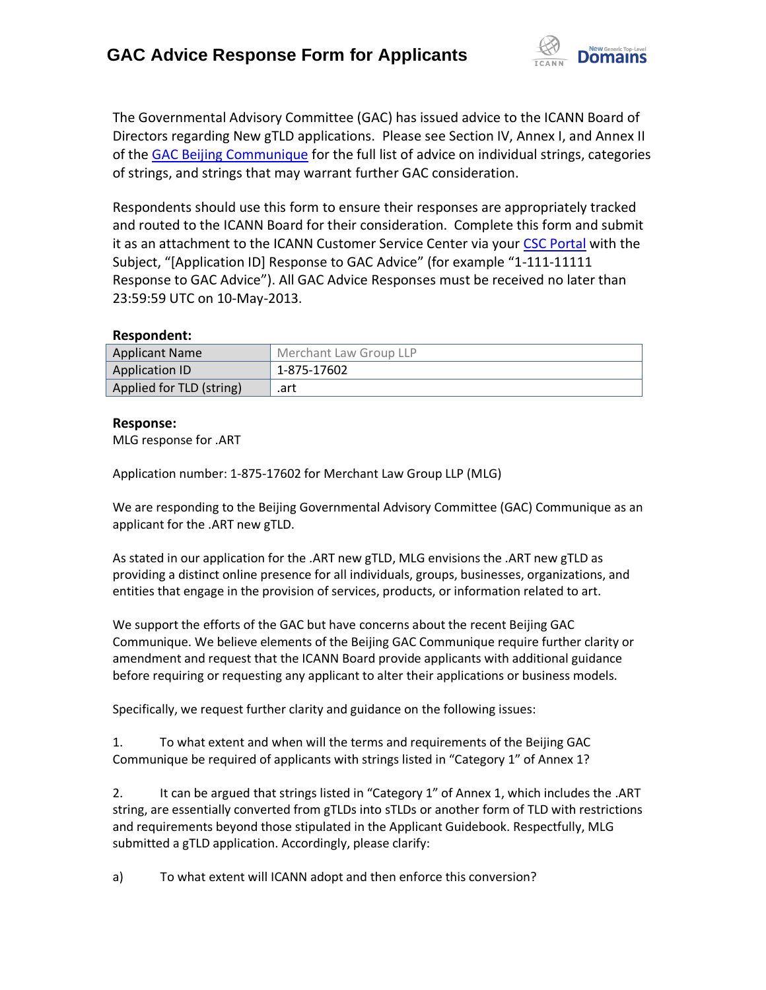

The Governmental Advisory Committee (GAC) has issued advice to the ICANN Board of Directors regarding New gTLD applications. Please see Section IV, Annex I, and Annex II of the [GAC Beijing Communique](http://www.icann.org/en/news/correspondence/gac-to-board-18apr13-en.pdf) for the full list of advice on individual strings, categories of strings, and strings that may warrant further GAC consideration.

Respondents should use this form to ensure their responses are appropriately tracked and routed to the ICANN Board for their consideration. Complete this form and submit it as an attachment to the ICANN Customer Service Center via your CSC [Portal](https://myicann.secure.force.com/) with the Subject, "[Application ID] Response to GAC Advice" (for example "1-111-11111 Response to GAC Advice"). All GAC Advice Responses must be received no later than 23:59:59 UTC on 10-May-2013.

## **Respondent:**

| <b>Applicant Name</b>    | Merchant Law Group LLP |
|--------------------------|------------------------|
| Application ID           | 1-875-17602            |
| Applied for TLD (string) | .art                   |

## **Response:**

MLG response for .ART

Application number: 1-875-17602 for Merchant Law Group LLP (MLG)

We are responding to the Beijing Governmental Advisory Committee (GAC) Communique as an applicant for the .ART new gTLD.

As stated in our application for the .ART new gTLD, MLG envisions the .ART new gTLD as providing a distinct online presence for all individuals, groups, businesses, organizations, and entities that engage in the provision of services, products, or information related to art.

We support the efforts of the GAC but have concerns about the recent Beijing GAC Communique. We believe elements of the Beijing GAC Communique require further clarity or amendment and request that the ICANN Board provide applicants with additional guidance before requiring or requesting any applicant to alter their applications or business models.

Specifically, we request further clarity and guidance on the following issues:

1. To what extent and when will the terms and requirements of the Beijing GAC Communique be required of applicants with strings listed in "Category 1" of Annex 1?

2. It can be argued that strings listed in "Category 1" of Annex 1, which includes the .ART string, are essentially converted from gTLDs into sTLDs or another form of TLD with restrictions and requirements beyond those stipulated in the Applicant Guidebook. Respectfully, MLG submitted a gTLD application. Accordingly, please clarify:

a) To what extent will ICANN adopt and then enforce this conversion?